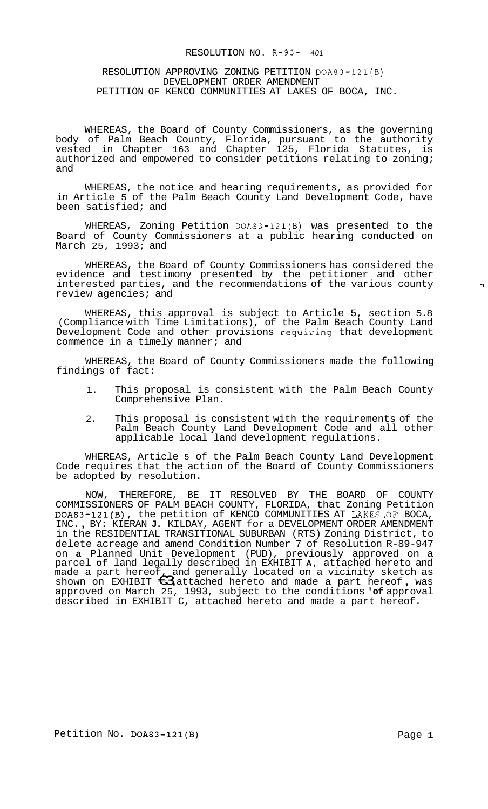## RESOLUTION NO. R-93- *<sup>401</sup>*

#### RESOLUTION APPROVING ZONING PETITION DOA83-121(B) DEVELOPMENT ORDER AMENDMENT PETITION OF KENCO COMMUNITIES AT LAKES OF BOCA, INC.

WHEREAS, the Board of County Commissioners, as the governing body of Palm Beach County, Florida, pursuant to the authority vested in Chapter 163 and Chapter 125, Florida Statutes, is authorized and empowered to consider petitions relating to zoning; and

WHEREAS, the notice and hearing requirements, as provided for in Article 5 of the Palm Beach County Land Development Code, have been satisfied; and

WHEREAS, Zoning Petition DOA83-121(B) was presented to the Board of County Commissioners at a public hearing conducted on March 25, 1993; and

WHEREAS, the Board of County Commissioners has considered the evidence and testimony presented by the petitioner and other interested parties, and the recommendations of the various county review agencies; and

WHEREAS, this approval is subject to Article 5, section 5.8 (Compliance with Time Limitations), of the Palm Beach County Land Development Code and other provisions requizing that development commence in a timely manner; and

WHEREAS, the Board of County Commissioners made the following findings of fact:

- 1. This proposal is consistent with the Palm Beach County Comprehensive Plan.
- 2. This proposal is consistent with the requirements of the Palm Beach County Land Development Code and all other applicable local land development regulations.

WHEREAS, Article 5 of the Palm Beach County Land Development Code requires that the action of the Board of County Commissioners be adopted by resolution.

NOW, THEREFORE, BE IT RESOLVED BY THE BOARD OF COUNTY COMMISSIONERS OF PALM BEACH COUNTY, FLORIDA, that Zoning Petition DOA83-121(B), the petition of KENCO COMMUNITIES AT LAKES OF BOCA, INC. , BY: KIERAN **J.** KILDAY, AGENT for a DEVELOPMENT ORDER AMENDMENT in the RESIDENTIAL TRANSITIONAL SUBURBAN (RTS) Zoning District, to delete acreage and amend Condition Number 7 of Resolution R-89-947 on **a** Planned Unit Development (PUD), previously approved on a parcel **of** land legally described in EXHIBIT **A,** attached hereto and made a part hereof, and generally located on a vicinity sketch as shown on EXHIBIT  $\bigoplus$  attached hereto and made a part hereof, was approved on March 25, 1993, subject to the conditions **'of** approval described in EXHIBIT C, attached hereto and made a part hereof.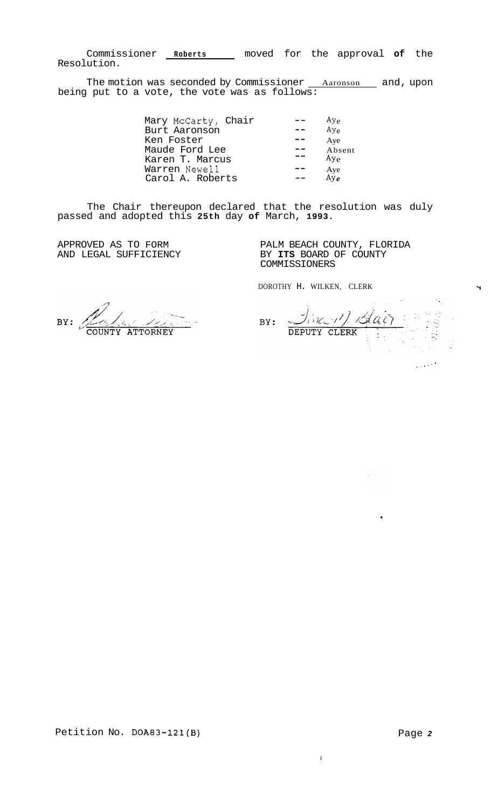Commissioner **Roberts** moved for the approval **of** the Resolution.

The motion was seconded by Commissioner <u>Aaronson a</u>nd, upon being put to a vote, the vote was as follows:

| Mary McCarty, Chair | $Ay_{\alpha}$  |
|---------------------|----------------|
| Burt Aaronson       | $Ay_e$         |
| Ken Foster          | Aye            |
| Maude Ford Lee      | Absent         |
| Karen T. Marcus     | $Ay_{\alpha}$  |
| Warren Newell       |                |
| Carol A. Roberts    | Aye<br>Ay $_e$ |
|                     |                |

The Chair thereupon declared that the resolution was duly passed and adopted this **25th** day **of** March, **1993.** 

APPROVED AS TO FORM AND LEGAL SUFFICIENCY PALM BEACH COUNTY, FLORIDA BY **ITS** BOARD OF COUNTY COMMISSIONERS

DOROTHY H. WILKEN, CLERK T

 $BY:$ **ATTORNEY** 

Jin 11 Blain  $BY:$  $\sim 10^{11}$ 

 $\bar{\mathbf{f}}$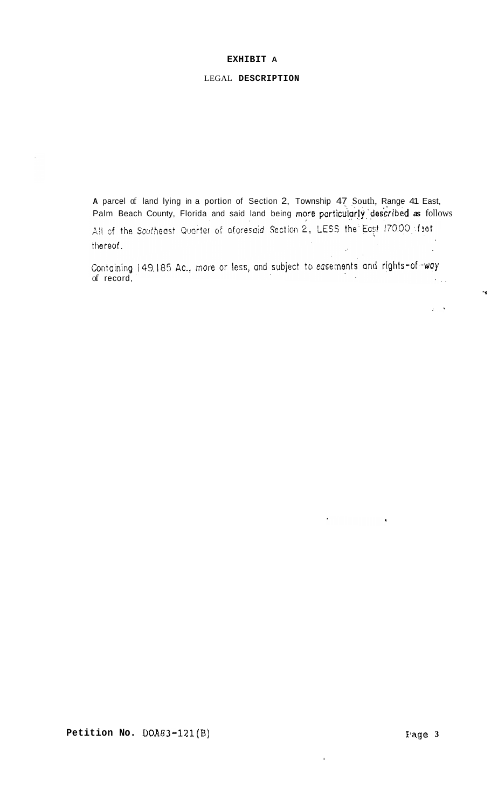#### **EXHIBIT A**

# LEGAL **DESCRIPTION**

**<sup>A</sup>**parcel of land lying in a portion of Section 2, Township 47 South, Range 41 East, Palm Beach County, Florida and said land being more particularly described as follows All of the Southeast Quarter of aforesaid Section 2, LESS the East 170.00 feet thereof.

Containing 149.185 Ac., more or less, and subject to easements and rights-of-way<br>of record,

I

**1** 

 $\mathbf{r} \in \mathbb{R}$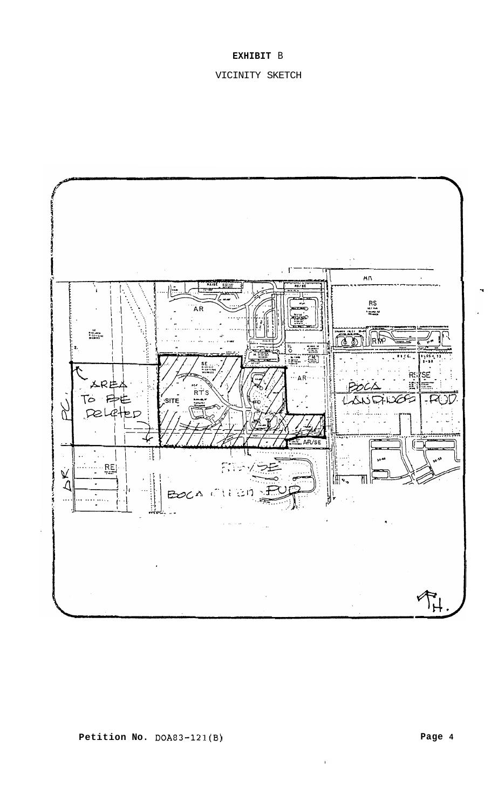# **EXHIBIT** B

# VICINITY SKETCH



 $\mathbf{r}$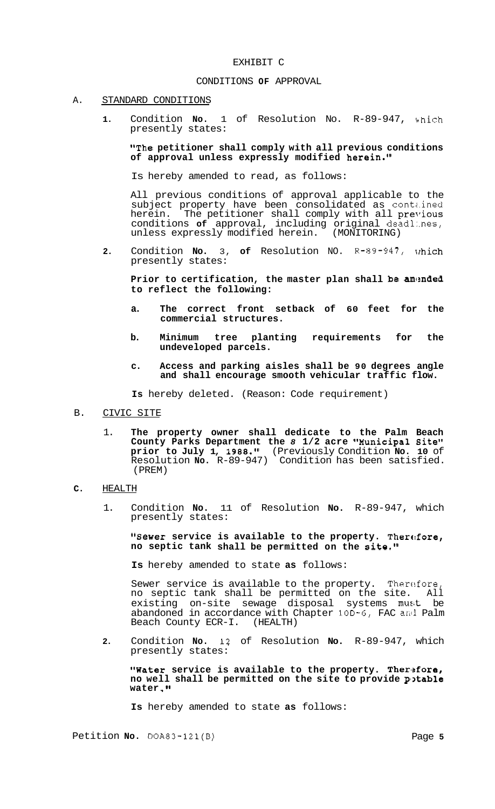#### EXHIBIT C

## CONDITIONS **OF** APPROVAL

## A. STANDARD CONDITIONS

**1.** Condition **No.** 1 of Resolution No. R-89-947, bhich presently states:

"The petitioner shall comply with all previous conditions **of approval unless expressly modified herein."** 

Is hereby amended to read, as follows:

All previous conditions of approval applicable to the subject property have been consolidated as contained herein. The petitioner shall comply with all previous conditions **of** approval, including original deadl:.nes, unless expressly modified herein. (MONITORING)

**2.** Condition **No.** 3, **of** Resolution NO. R-89-947, presently states:

Prior to certification, the master plan shall be amended **to reflect the following:** 

- **a. The correct front setback of 60 feet for the commercial structures.**
- **b. Minimum tree planting requirements for the undeveloped parcels.**
- **c. Access and parking aisles shall be 90 degrees angle and shall encourage smooth vehicular traffic flow.**

**Is** hereby deleted. (Reason: Code requirement)

- B. CIVIC SITE
	- 1. **The property owner shall dedicate to the Palm Beach County Parks Department the** *8* **1/2 acre Wunicipal Site" prior to July 1, 1988."** (Previously Condition **No. 10** of Resolution **No.** R-89-947) Condition has been satisfied. (PREM)

# **C.** HEALTH

1. Condition **No.** 11 of Resolution **No.** R-89-947, which presently states:

**"Sewer service is available to the property. Therefore, no septic tank shall be permitted on the site."** 

**Is** hereby amended to state **as** follows:

Sewer service is available to the property. Therefore, no septic tank shall be permitted on the site. All existing on-site sewage disposal systems must be abandoned in accordance with Chapter 10D-6, FAC anti Palm Beach County ECR-I. (HEALTH)

**2.** Condition **No.** 12 of Resolution **No.** R-89-947, which presently states:

**"Water service is available to the property. Ther~3fore,**  no well shall be permitted on the site to provide potable water."

**Is** hereby amended to state **as** follows:

Petition **No.** DOA83-121(B) Page **5**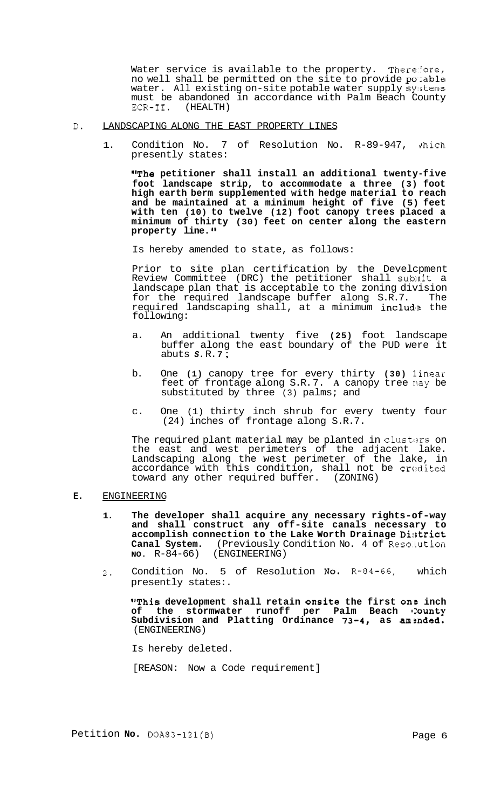Water service is available to the property. Therefore, no well shall be permitted on the site to provide potable water. All existing on-site potable water supply systems must be abandoned in accordance with Palm Beach County ECR-II. (HEALTH) (HEALTH)

#### D. LANDSCAPING ALONG THE EAST PROPERTY LINES

1. Condition No. 7 of Resolution No. R-89-947, which presently states:

**"The petitioner shall install an additional twenty-five foot landscape strip, to accommodate a three (3) foot high earth berm supplemented with hedge material to reach and be maintained at a minimum height of five (5) feet with ten (10) to twelve (12) foot canopy trees placed a minimum of thirty (30) feet on center along the eastern property line.** 

Is hereby amended to state, as follows:

Prior to site plan certification by the Develcpment Review Committee (DRC) the petitioner shall sublait a landscape plan that is acceptable to the zoning division for the required landscape buffer along S.R.7. The required landscaping shall, at a minimum **includ**e the following:

- a. An additional twenty five **(25)** foot landscape buffer along the east boundary of the PUD were it abuts *S.* R. **7** ;
- b. One **(1)** canopy tree for every thirty **(30)** 1 inear feet of frontage along S.R.7. A canopy tree nay be substituted by three (3) palms; and
- c. One (1) thirty inch shrub for every twenty four (24) inches of frontage along S.R.7.

The required plant material may be planted in clusters on the east and west perimeters of the adjacent lake. Landscaping along the west perimeter of the lake, in accordance with this condition, shall not be credited toward any other required buffer. (ZONING)

## **E.** ENGINEERING

- **1. The developer shall acquire any necessary rights-of-way and shall construct any off-site canals necessary to**  accomplish connection to the Lake Worth Drainage District Canal System. (Previously Condition No. 4 of Resolution No. R-84-66) (ENGINEERING) (ENGINEERING)
- **2.** Condition No. 5 of Resolution NO. R-84-66, which presently states:.

**"This development shall retain onsite the first onB inch**  of the stormwater runoff per Palm Beach County Subdivision and Platting Ordinance 73-4, as amended. (ENGINEERING)

Is hereby deleted.

[REASON: Now a Code requirement]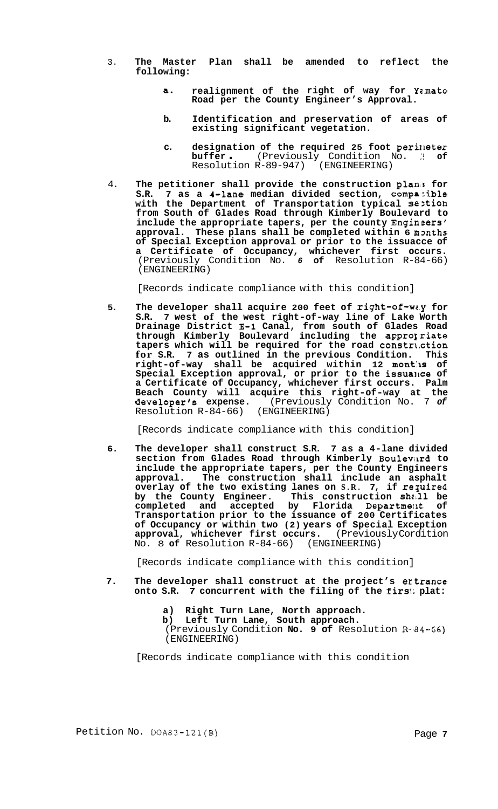- 3. **The Master Plan shall be amended to reflect the following:** 
	- a. realignment of the right of way for Yamato **Road per the County Engineer's Approval.**
	- **b. Identification and preservation of areas of existing significant vegetation.**
	- **c. designation of the required 25 foot perilleter**  designation of the required 25 foot perimeter<br>buffer . (Previously Condition No. 3 of Resolution R-89-947) (ENGINEERING)
- 4. The petitioner shall provide the construction plan: for S.R. 7 as a 4-lane median divided section, compatible 7 as a 4-lane median divided section, compatible **with the Department of Transportation typical seztion from South of Glades Road through Kimberly Boulevard to include the appropriate tapers, per the county Enginsers'**  approval. These plans shall be completed within 6 mpnths **of Special Exception approval or prior to the issuacce of a Certificate of Occupancy, whichever first occurs.**  (Previously Condition No. *6* **of** Resolution R-84-66) (ENGINEERING)

[Records indicate compliance with this condition]

**5. The developer shall acquire 200 feet of right-of-wz.y for S.R. 7 west of the west right-of-way line of Lake Worth Drainage District E-1 Canal, from south of Glades Road**  through Kimberly Boulevard including the appro<sub>liate</sub> **tapers which will be required for the road constriction for S.R. 7 as outlined in the previous Condition. This**  right-of-way shall be acquired within 12 months of Special Exception approval, or prior to the issualce of **a Certificate of Occupancy, whichever first occurs. Palm**  Beach County will acquire this right-of-way at the developer's expense. (Previously Condition No. 7 of **developer's expense.** (Previously Condition No. 7 *of*  Resolution  $R-84-66$ )

[Records indicate compliance with this condition]

**6. The developer shall construct S.R. 7 as a 4-lane divided section from Glades Road through Kimberly Boulevilrd to include the appropriate tapers, per the County Engineers approval. The construction shall include an asphalt overlay of the two existing lanes on S.R. 7, if required** by the County Engineer. This construction shall be **completed and accepted by Florida Departmeilt of Transportation prior to the issuance of 200 Certificates of Occupancy or within two (2) years of Special Exception approval, whichever first occurs.** (Previously Cordition No. 8 **of** Resolution R-84-66) (ENGINEERING)

[Records indicate compliance with this condition]

- **7. The developer shall construct at the project's ertrance onto S.R. 7 concurrent with the filing of the firsi; plat:** 
	- **a) Right Turn Lane, North approach.**
	- **b) Left Turn Lane, South approach.**

(Previously Condition **No. 9 of** Resolution R-.84-66) (ENGINEERING)

[Records indicate compliance with this condition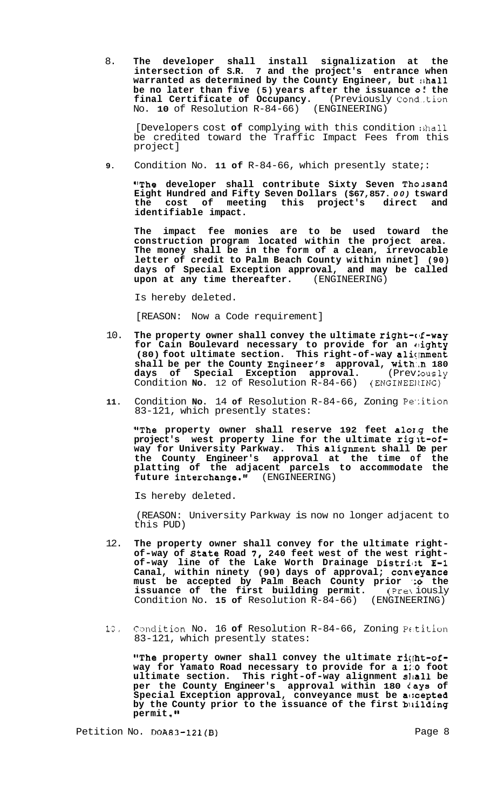8. **The developer shall install signalization at the intersection of S.R. 7 and the project's entrance when warranted as determined by the County Engineer, but !,hall be no later than five (5) years after the issuance <b>o**: the **final Certificate of Occupancy.** (Previously Cond-tion No. **10** of Resolution R-84-66) (ENGINEERING)

[Developers cost **of** complying with this condition ishall be credited toward the Traffic Impact Fees from this project]

**9.** Condition No. **11 of** R-84-66, which presently state;:

"The developer shall contribute Sixty Seven Thousand **Eight Hundred and Fifty Seven Dollars (\$67,857.** *00)* **tsward the cost of meeting this project's direct and identifiable impact.** 

**The impact fee monies are to be used toward the construction program located within the project area. The money shall be in the form of a clean, irrevocable letter of credit to Palm Beach County within ninet] (90) days of Special Exception approval, and may be called**  upon at any time thereafter.

Is hereby deleted.

[REASON: Now a Code requirement]

- 10. The property owner shall convey the ultimate right-of-way **for Cain Boulevard necessary to provide for an clighty**  (80) foot ultimate section. This right-of-way aliqnment **shall be per the County Engineer's approval, with:.n 180**  days of Special Exception approval. (Prev: ously Condition **No.** 12 of Resolution R-84-66) (ENGINEERING)
- **11.** Condition **No.** 14 **of** Resolution R-84-66, Zoning Pe'lition 83-121, which presently states:

**"The property owner shall reserve 192 feet alo1.g the project's west property line for the ultimate riglt-ofway for University Parkway. This alignment shall De per the County Engineer's approval at the time of the platting of the adjacent parcels to accommodate the future interchange."** (ENGINEERING)

Is hereby deleted.

(REASON: University Parkway is now no longer adjacent to this PUD)

- 12. **The property owner shall convey for the ultimate rightof-way of state Road** *7,* **240 feet west of the west right- of-way line of the Lake Worth Drainage Distril:t E-1 Canal, within ninety (90) days of approval; conveyance must be accepted by Palm Beach County prior 'io the issuance of the first building permit.** (Previously Condition No. **15 of** Resolution R-84-66) (ENGINEERING)
- **13.** Candition No. 16 **of** Resolution R-84-66, Zoning Pc.tition 83-121, which presently states:

"The property owner shall convey the ultimate right-of**way for Yamato Road necessary to provide for a 1::O foot ultimate section. This right-of-way alignment sJIal1 be**  per the County Engineer's approval within 180  $\ell$  ays of **Special Exception approval, conveyance must be ac:cepted by the County prior to the issuance of the first biiilding permit .Ig** 

Petition No. **DOA83-121(B)** Page 8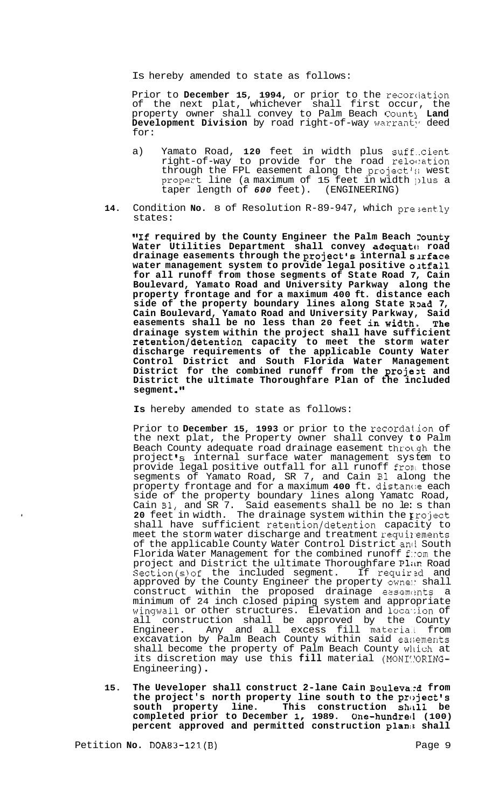Is hereby amended to state as follows:

Prior to December 15, 1994, or prior to the recordation of the next plat, whichever shall first occur, the property owner shall convey to Palm Beach Count1 **Land Development Division** by road right-of-way warranty deed for:

- a) Yamato Road, **120** feet in width plus suff.-cient right-of-way to provide for the road re1oc:ation through the FPL easement along the project's west propert line (a maximum of 15 feet in width ])ius a taper length of *600* feet). (ENGINEERING)
- **14.** Condition **No.** 8 of Resolution R-89-947, which pre;ently states:

**"If required by the County Engineer the Palm Beach 2ounty Water Utilities Department shall convey adequatf! road drainage easements through the project's internal sarface water management system to provide legal positive oatfall for all runoff from those segments of State Road 7, Cain Boulevard, Yamato Road and University Parkway along the property frontage and for a maximum 400 ft. distance each**  side of the property boundary lines along State Road 7, **Cain Boulevard, Yamato Road and University Parkway, Said easements shall be no less than 20 feet in width. The drainage system within the project shall have sufficient retention/detention capacity to meet the storm water discharge requirements of the applicable County Water Control District and South Florida Water Management District for the combined runoff from the projezt and District the ultimate Thoroughfare Plan of the included segment .I1** 

**Is** hereby amended to state as follows:

Prior to **December 15, 1993** or prior to the recordat.ion of the next plat, the Property owner shall convey **to** Palm Beach County adequate road drainage easement throt.gh the project's internal surface water management system to provide legal positive outfall for all runoff fronl those segments of Yamato Road, SR 7, and Cain B1 along the property frontage and for a maximum **400** ft. distanc:e each side of the property boundary lines along Yamatc Road, Cain B1, and SR 7. Said easements shall be no le: s than **20** feet in width. The drainage system within the **E** roject shall have sufficient retention/detention capacity to meet the storm water discharge and treatment requirements of the applicable County Water Control District and South Florida Water Management for the combined runoff f:: om the project and District the ultimate Thoroughfare Plan Road<br>Section(s) of the included segment. If required and Section(s) of the included segment. If required and approved by the County Engineer the property owne: shall construct within the proposed drainage easements a minimum of 24 inch closed piping system and appropriate wingwall or other structures. Elevation and loca-:ion of all construction shall be approved by the County Engineer. Any and all excess fill material from excavation by Palm Beach County within said easements shall become the property of Palm Beach County which at its discretion may use this fill material (MONI: ORING-Engineering) .

15. The Ueveloper shall construct 2-lane Cain Bouleva<sub>:d from</sub> **the project's north property line south to the project's south property line. This construction ShiIll be completed prior to December I, 1989. One-hundrec1 (100) percent approved and permitted construction planla shall**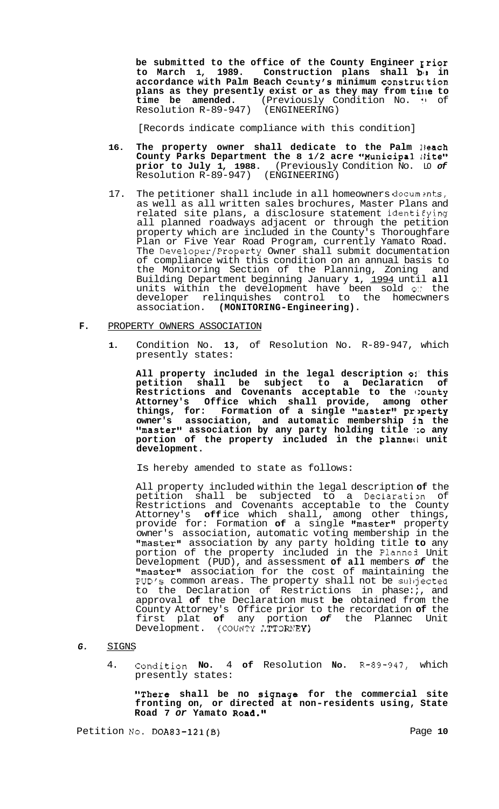**be submitted to the office of the County Engineer Erior**  to March 1, 1989. Construction plans shall by in **accordance with Palm Beach County's minimum construc tion plans as they presently exist or as they may from ti11e to time be amended.** (Previously Condition No. **!I** of Resolution R-89-947) (ENGINEERING)

[Records indicate compliance with this condition]

- 16. The property owner shall dedicate to the Palm Beach County Parks Department the 8 1/2 acre "Municipal *Site"* **prior to July 1, 1988.** (Previously Condition No. LO *of*  Resolution R-89-947) (ENGINEERING)
- 17. The petitioner shall include in all homeowners documents, as well as all written sales brochures, Master Plans and related site plans, a disclosure statement identi€ying all planned roadways adjacent or through the petition property which are included in the County's Thoroughfare Plan or Five Year Road Program, currently Yamato Road. The Developer/Property Owner shall submit documentation of compliance with this condition on an annual basis to the Monitoring Section of the Planning, Zoning and Building Department beginning January **1,** 1994 until **all**  units within the development have been sold *0::* the developer relinquishes control to the homecwners association. **(MONITORING-Engineering).**

## **F.** PROPERTY OWNERS ASSOCIATION

**1.** Condition No. **13,** of Resolution No. R-89-947, which presently states:

**All property included in the legal description 01' this petition shall be subject to a Declaraticn of Restrictions and Covenants acceptable to the c:ounty Attorney's Office which shall provide, among other things, for: Formation of a single "master" pr,>perty owner's association, and automatic membership in the "master" association by any party holding title '30 any portion of the property included in the planned unit development.** 

Is hereby amended to state as follows:

All property included within the legal description **of** the petition shall be subjected to a Declaration of Restrictions and Covenants acceptable to the County Attorney's **off** ice which shall, among other things, provide for: Formation of a single "master" property owner's association, automatic voting membership in the "master" association by any party holding title to any portion of the property included in the Planned Unit Development (PUD), and assessment **of all** members *of* the "master" association for the cost of maintaining the PUD's common areas. The property shall not be subjected to the Declaration of Restrictions in phase:;, and approval **of** the Declaration must **be** obtained from the County Attorney's Office prior to the recordation **of** the first plat **of** any portion *of* the Plannec Unit Development. (COUNTY ATTORNEY)

- G. SIGNS
	- 4. Condition **No.** 4 **of** Resolution **NO.** R-89-947, which presently states:

**"There shall be no signage for the commercial site fronting on, or directed at non-residents using, State Road 7** *or* **Yamato Road.'I** 

Petition *No.* **DOA83-121(B)** Page 10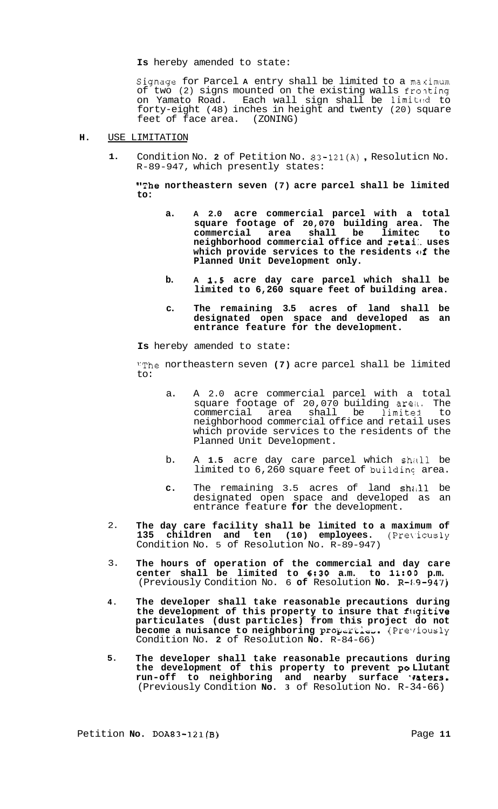**Is** hereby amended to state:

Signage for Parcel A entry shall be limited to a maximum of two (2) signs mounted on the existing walls fronting on Yamato Road. Each wall sign shall be limited to forty-eight (48) inches in height and twenty (20) square feet of face area. (ZONING)

#### **H.** USE LIMITATION

**1.**  Condition No. **2** of Petition No. 83-121(A) , Resoluticn No. R-89-947, which presently states:

**"The northeastern seven (7) acre parcel shall be limited to:** 

- **a. A 2.0 acre commercial parcel with a total square footage of 20,070 building area. The commercial area shall be limitec to neighborhood commercial office and retai:. uses which provide services to the residents of the Planned Unit Development only.**
- **b. A 1.5 acre day care parcel which shall be limited to 6,260 square feet of building area.**
- **c. The remaining 3.5 acres of land shall be designated open space and developed as an entrance feature for the development.**

**Is** hereby amended to state:

"The northeastern seven **(7)** acre parcel shall be limited to:

- a. A 2.0 acre commercial parcel with a total square footage of 20,070 building area. The commercial area shall be limited to neighborhood commercial office and retail uses which provide services to the residents of the Planned Unit Development.
- b. A 1.5 acre day care parcel which shall be limited to 6,260 square feet of building area.
- c. The remaining 3.5 acres of land shall be designated open space and developed as an entrance feature **for** the development.
- 2. **The day care facility shall be limited to a maximum of**  135 children and ten (10) employees. (Previously Condition No. 5 of Resolution No. R-89-947)
- 3. **The hours of operation of the commercial and day care center shall be limited to 6:30 a.m. to 1l:OD p.m.**  (Previously Condition No. 6 **of** Resolution **No.** R-1)9-947)
- **4. The developer shall take reasonable precautions during the development of this property to insure that fitgitive particulates (dust particles) from this project do not become a nuisance to neighboring properties.** (Previously Condition No. **2** of Resolution **No.** R-84-66)
- **5. The developer shall take reasonable precautions during the development of this property to prevent PO Llutant**  run-off to neighboring and nearby surface **'aters.** (Previously Condition **No. 3** of Resolution No. R-34-66)